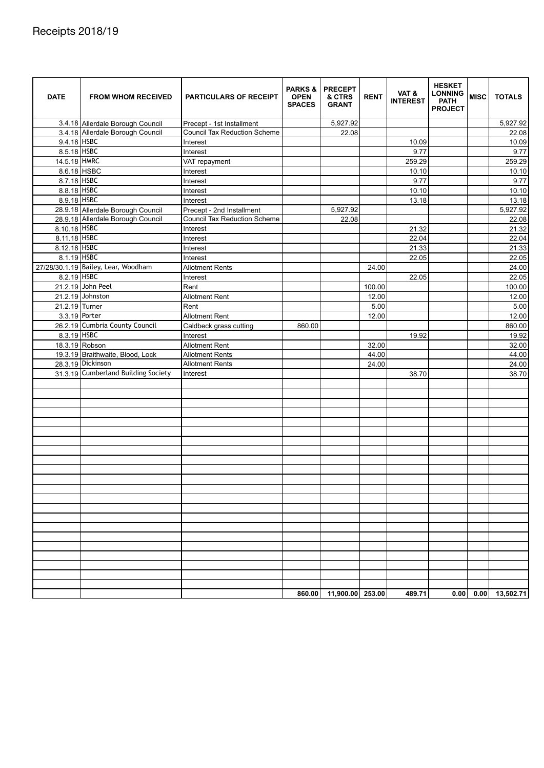| <b>DATE</b>    | <b>FROM WHOM RECEIVED</b>           | PARTICULARS OF RECEIPT              | <b>PARKS &amp;</b><br><b>OPEN</b><br><b>SPACES</b> | <b>PRECEPT</b><br>& CTRS<br><b>GRANT</b> | <b>RENT</b> | VAT&<br><b>INTEREST</b> | <b>HESKET</b><br><b>LONNING</b><br><b>PATH</b><br><b>PROJECT</b> | <b>MISC</b> | <b>TOTALS</b> |
|----------------|-------------------------------------|-------------------------------------|----------------------------------------------------|------------------------------------------|-------------|-------------------------|------------------------------------------------------------------|-------------|---------------|
|                | 3.4.18 Allerdale Borough Council    | Precept - 1st Installment           |                                                    | 5,927.92                                 |             |                         |                                                                  |             | 5,927.92      |
|                | 3.4.18 Allerdale Borough Council    | <b>Council Tax Reduction Scheme</b> |                                                    | 22.08                                    |             |                         |                                                                  |             | 22.08         |
| $9.4.18$ HSBC  |                                     | Interest                            |                                                    |                                          |             | 10.09                   |                                                                  |             | 10.09         |
| 8.5.18 HSBC    |                                     | Interest                            |                                                    |                                          |             | 9.77                    |                                                                  |             | 9.77          |
| 14.5.18 HMRC   |                                     | VAT repayment                       |                                                    |                                          |             | 259.29                  |                                                                  |             | 259.29        |
|                | 8.6.18 HSBC                         | Interest                            |                                                    |                                          |             | 10.10                   |                                                                  |             | 10.10         |
| 8.7.18 HSBC    |                                     | Interest                            |                                                    |                                          |             | 9.77                    |                                                                  |             | 9.77          |
| 8.8.18 HSBC    |                                     | Interest                            |                                                    |                                          |             | 10.10                   |                                                                  |             | 10.10         |
| 8.9.18 HSBC    |                                     | Interest                            |                                                    |                                          |             | 13.18                   |                                                                  |             | 13.18         |
|                | 28.9.18 Allerdale Borough Council   | Precept - 2nd Installment           |                                                    | 5,927.92                                 |             |                         |                                                                  |             | 5,927.92      |
|                | 28.9.18 Allerdale Borough Council   | <b>Council Tax Reduction Scheme</b> |                                                    | 22.08                                    |             |                         |                                                                  |             | 22.08         |
| 8.10.18 HSBC   |                                     | Interest                            |                                                    |                                          |             | 21.32                   |                                                                  |             | 21.32         |
| 8.11.18 HSBC   |                                     | Interest                            |                                                    |                                          |             | 22.04                   |                                                                  |             | 22.04         |
| 8.12.18 HSBC   |                                     | Interest                            |                                                    |                                          |             | 21.33                   |                                                                  |             | 21.33         |
| 8.1.19 HSBC    |                                     | Interest                            |                                                    |                                          |             | 22.05                   |                                                                  |             | 22.05         |
|                | 27/28/30.1.19 Bailey, Lear, Woodham | <b>Allotment Rents</b>              |                                                    |                                          | 24.00       |                         |                                                                  |             | 24.00         |
| 8.2.19 HSBC    |                                     | Interest                            |                                                    |                                          |             | 22.05                   |                                                                  |             | 22.05         |
|                | 21.2.19 John Peel                   | Rent                                |                                                    |                                          | 100.00      |                         |                                                                  |             | 100.00        |
|                | 21.2.19 Johnston                    | <b>Allotment Rent</b>               |                                                    |                                          | 12.00       |                         |                                                                  |             | 12.00         |
| 21.2.19 Turner |                                     | Rent                                |                                                    |                                          | 5.00        |                         |                                                                  |             | 5.00          |
|                | 3.3.19 Porter                       | <b>Allotment Rent</b>               |                                                    |                                          | 12.00       |                         |                                                                  |             | 12.00         |
|                | 26.2.19 Cumbria County Council      | Caldbeck grass cutting              | 860.00                                             |                                          |             |                         |                                                                  |             | 860.00        |
| 8.3.19 HSBC    |                                     | Interest                            |                                                    |                                          |             | 19.92                   |                                                                  |             | 19.92         |
|                | 18.3.19 Robson                      | <b>Allotment Rent</b>               |                                                    |                                          | 32.00       |                         |                                                                  |             | 32.00         |
|                | 19.3.19 Braithwaite, Blood, Lock    | <b>Allotment Rents</b>              |                                                    |                                          | 44.00       |                         |                                                                  |             | 44.00         |
|                | 28.3.19 Dickinson                   | <b>Allotment Rents</b>              |                                                    |                                          | 24.00       |                         |                                                                  |             | 24.00         |
|                | 31.3.19 Cumberland Building Society | Interest                            |                                                    |                                          |             | 38.70                   |                                                                  |             | 38.70         |
|                |                                     |                                     |                                                    |                                          |             |                         |                                                                  |             |               |
|                |                                     |                                     |                                                    |                                          |             |                         |                                                                  |             |               |
|                |                                     |                                     |                                                    |                                          |             |                         |                                                                  |             |               |
|                |                                     |                                     |                                                    |                                          |             |                         |                                                                  |             |               |
|                |                                     |                                     |                                                    |                                          |             |                         |                                                                  |             |               |
|                |                                     |                                     |                                                    |                                          |             |                         |                                                                  |             |               |
|                |                                     |                                     |                                                    |                                          |             |                         |                                                                  |             |               |
|                |                                     |                                     |                                                    |                                          |             |                         |                                                                  |             |               |
|                |                                     |                                     |                                                    |                                          |             |                         |                                                                  |             |               |
|                |                                     |                                     |                                                    |                                          |             |                         |                                                                  |             |               |
|                |                                     |                                     |                                                    |                                          |             |                         |                                                                  |             |               |
|                |                                     |                                     |                                                    |                                          |             |                         |                                                                  |             |               |
|                |                                     |                                     |                                                    |                                          |             |                         |                                                                  |             |               |
|                |                                     |                                     |                                                    |                                          |             |                         |                                                                  |             |               |
|                |                                     |                                     |                                                    |                                          |             |                         |                                                                  |             |               |
|                |                                     |                                     |                                                    |                                          |             |                         |                                                                  |             |               |
|                |                                     |                                     |                                                    |                                          |             |                         |                                                                  |             |               |
|                |                                     |                                     |                                                    |                                          |             |                         |                                                                  |             |               |
|                |                                     |                                     |                                                    |                                          |             |                         |                                                                  |             |               |
|                |                                     |                                     |                                                    |                                          |             |                         |                                                                  |             |               |
|                |                                     |                                     |                                                    |                                          |             |                         |                                                                  |             |               |
|                |                                     |                                     |                                                    |                                          |             |                         |                                                                  |             |               |
|                |                                     |                                     |                                                    | 860.00 11,900.00 253.00                  |             | 489.71                  | 0.00                                                             | 0.00        | 13,502.71     |
|                |                                     |                                     |                                                    |                                          |             |                         |                                                                  |             |               |